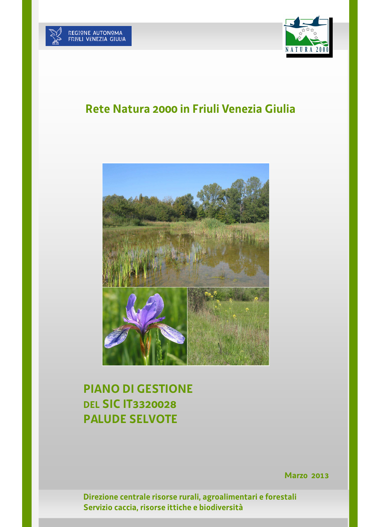



# Rete Natura 2000 in Friuli Venezia Giulia



# **PIANO DI GESTIONE DEL SIC IT3320028 PALUDE SELVOTE**

**Marzo 2013** 

Direzione centrale risorse rurali, agroalimentari e forestali Servizio caccia, risorse ittiche e biodiversità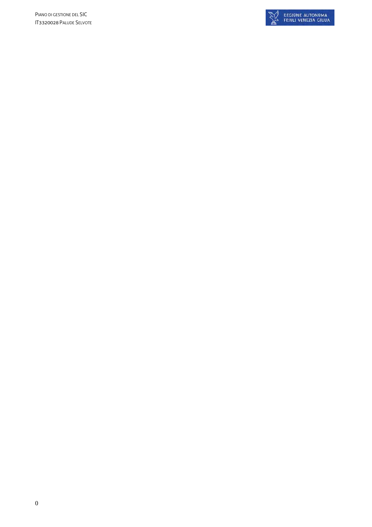PIANO DI GESTIONE DEL SIC IT3320028 PALUDE SELVOTE

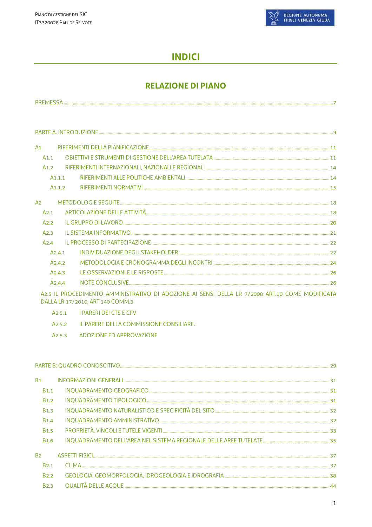### **INDICI**

#### **RELAZIONE DI PIANO**

| A <sub>1</sub>       |        |    |
|----------------------|--------|----|
| A1.1                 |        |    |
| A1.2                 |        |    |
|                      | A1.1.1 |    |
|                      | A1.1.2 |    |
| A2                   |        |    |
| A2.1                 |        |    |
| A2.2                 |        |    |
| A2.3                 |        |    |
| A2.4                 |        |    |
|                      | A2.4.1 |    |
|                      | A2.4.2 |    |
|                      | A2.4.3 |    |
| $\Delta$ 2 $\Lambda$ |        | 26 |
|                      |        |    |

A2.5 IL PROCEDIMENTO AMMINISTRATIVO DI ADOZIONE AI SENSI DELLA LR 7/2008 ART.10 COME MODIFICATA DALLA LR 17/2010, ART.140 COMM.3

- **I PARERI DEI CTS E CFV**  $A2.5.1$
- $A2.5.2$ IL PARERE DELLA COMMISSIONE CONSILIARE.
- $A2.5.3$ **ADOZIONE ED APPROVAZIONE**

| B <sub>1</sub>          |  |
|-------------------------|--|
| <b>B</b> <sub>1.1</sub> |  |
| B <sub>1.2</sub>        |  |
| <b>B</b> 1.3            |  |
| <b>B</b> <sub>1.4</sub> |  |
| <b>B1.5</b>             |  |
| <b>B</b> <sub>1.6</sub> |  |
| B <sub>2</sub>          |  |
| <b>B2.1</b>             |  |
| B2.2                    |  |
| <b>B2.3</b>             |  |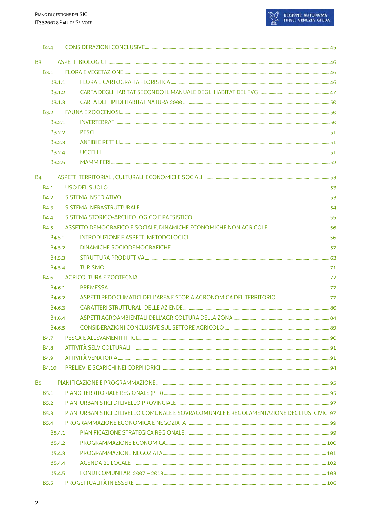

| <b>B2.4</b>             |                    |                                                                                              |  |
|-------------------------|--------------------|----------------------------------------------------------------------------------------------|--|
| <b>B3</b>               |                    |                                                                                              |  |
| <b>B</b> 3.1            |                    |                                                                                              |  |
|                         | <b>B</b> 3.1.1     |                                                                                              |  |
|                         | B <sub>3.1.2</sub> |                                                                                              |  |
|                         | <b>B</b> 3.1.3     |                                                                                              |  |
| <b>B</b> 3.2            |                    |                                                                                              |  |
|                         | B <sub>3.2.1</sub> |                                                                                              |  |
|                         | B <sub>3.2.2</sub> |                                                                                              |  |
|                         | B <sub>3.2.3</sub> |                                                                                              |  |
|                         | <b>B</b> 3.2.4     |                                                                                              |  |
|                         | <b>B</b> 3.2.5     |                                                                                              |  |
| <b>B4</b>               |                    |                                                                                              |  |
| <b>B4.1</b>             |                    |                                                                                              |  |
| <b>B4.2</b>             |                    |                                                                                              |  |
| <b>B4.3</b>             |                    |                                                                                              |  |
| <b>B4.4</b>             |                    |                                                                                              |  |
| <b>B4.5</b>             |                    |                                                                                              |  |
|                         | B <sub>4.5.1</sub> |                                                                                              |  |
|                         | B <sub>4.5.2</sub> |                                                                                              |  |
|                         | B <sub>4.5.3</sub> |                                                                                              |  |
|                         | B <sub>4.5.4</sub> |                                                                                              |  |
| B4.6                    |                    |                                                                                              |  |
|                         | B <sub>4.6.1</sub> |                                                                                              |  |
|                         | B <sub>4.6.2</sub> |                                                                                              |  |
|                         | B <sub>4.6.3</sub> |                                                                                              |  |
|                         | B <sub>4.6.4</sub> |                                                                                              |  |
|                         | B4.6.5             |                                                                                              |  |
| <b>B4.7</b>             |                    |                                                                                              |  |
| <b>B4.8</b>             |                    |                                                                                              |  |
| <b>B4.9</b>             |                    |                                                                                              |  |
| B <sub>4.10</sub>       |                    |                                                                                              |  |
| <b>B<sub>5</sub></b>    |                    |                                                                                              |  |
| <b>B</b> <sub>5.1</sub> |                    |                                                                                              |  |
| <b>B</b> <sub>5.2</sub> |                    |                                                                                              |  |
| <b>B</b> <sub>5.3</sub> |                    | PIANI URBANISTICI DI LIVELLO COMUNALE E SOVRACOMUNALE E REGOLAMENTAZIONE DEGLI USI CIVICI 97 |  |
| <b>B</b> 5.4            |                    |                                                                                              |  |
|                         | <b>B</b> 5.4.1     |                                                                                              |  |
|                         | <b>B</b> 5.4.2     |                                                                                              |  |
|                         | <b>B</b> 5.4.3     |                                                                                              |  |
|                         | <b>B</b> 5.4.4     |                                                                                              |  |
|                         | <b>B</b> 5.4.5     |                                                                                              |  |
| <b>B5.5</b>             |                    |                                                                                              |  |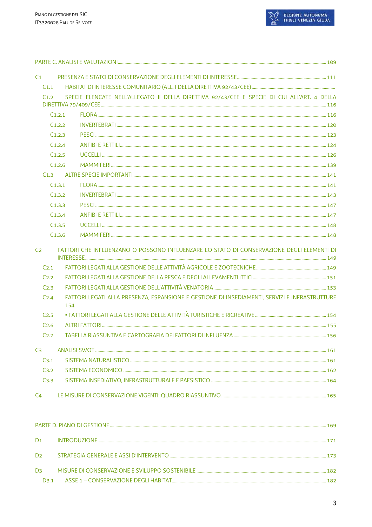

| $C_{1}$          |                    |                                                                                               |  |
|------------------|--------------------|-----------------------------------------------------------------------------------------------|--|
| C <sub>1.1</sub> |                    |                                                                                               |  |
| C <sub>1.2</sub> |                    | SPECIE ELENCATE NELL'ALLEGATO II DELLA DIRETTIVA 92/43/CEE E SPECIE DI CUI ALL'ART. 4 DELLA   |  |
|                  | $C_{1,2,1}$        |                                                                                               |  |
|                  | $C_{1,2,2}$        |                                                                                               |  |
|                  | $C_{1,2,3}$        |                                                                                               |  |
|                  | $C_{1,2,4}$        |                                                                                               |  |
|                  | $C_{1.2.5}$        |                                                                                               |  |
|                  | $C_{1.2.6}$        |                                                                                               |  |
|                  |                    |                                                                                               |  |
|                  | C <sub>1.3.1</sub> |                                                                                               |  |
|                  | C <sub>1.3.2</sub> |                                                                                               |  |
|                  | C <sub>1.3.3</sub> |                                                                                               |  |
|                  | $C_{1,3,4}$        |                                                                                               |  |
|                  | C <sub>1.3.5</sub> |                                                                                               |  |
|                  | C1.3.6             |                                                                                               |  |
| C <sub>2</sub>   |                    | FATTORI CHE INFLUENZANO O POSSONO INFLUENZARE LO STATO DI CONSERVAZIONE DEGLI ELEMENTI DI     |  |
|                  |                    |                                                                                               |  |
| C <sub>2.1</sub> |                    |                                                                                               |  |
| C <sub>2.2</sub> |                    |                                                                                               |  |
| C <sub>2.3</sub> |                    |                                                                                               |  |
| C <sub>2.4</sub> | 154                | FATTORI LEGATI ALLA PRESENZA, ESPANSIONE E GESTIONE DI INSEDIAMENTI, SERVIZI E INFRASTRUTTURE |  |
| C <sub>2.5</sub> |                    |                                                                                               |  |
| C <sub>2.6</sub> |                    |                                                                                               |  |
| C2.7             |                    |                                                                                               |  |
| C <sub>3</sub>   |                    |                                                                                               |  |
| C <sub>3.1</sub> |                    |                                                                                               |  |
| C3.2             |                    |                                                                                               |  |
| C <sub>3.3</sub> |                    |                                                                                               |  |
| $\overline{C}4$  |                    |                                                                                               |  |
|                  |                    |                                                                                               |  |

| D <sub>1</sub> |  |
|----------------|--|
| D <sub>2</sub> |  |
| D <sub>3</sub> |  |
|                |  |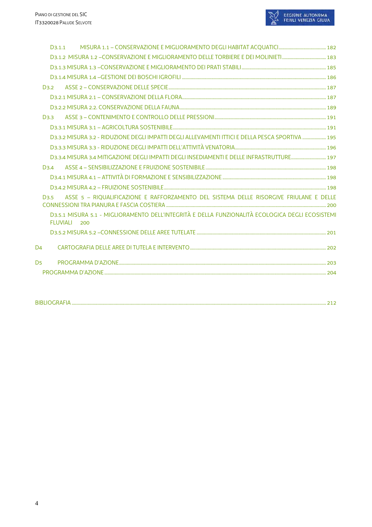|                | D311             |              |                                                                                                  |  |
|----------------|------------------|--------------|--------------------------------------------------------------------------------------------------|--|
|                |                  |              |                                                                                                  |  |
|                |                  |              |                                                                                                  |  |
|                |                  |              |                                                                                                  |  |
|                | D3.2             |              |                                                                                                  |  |
|                |                  |              |                                                                                                  |  |
|                |                  |              |                                                                                                  |  |
|                | D <sub>3.3</sub> |              |                                                                                                  |  |
|                |                  |              |                                                                                                  |  |
|                |                  |              | D3.3.2 MISURA 3.2 - RIDUZIONE DEGLI IMPATTI DEGLI ALLEVAMENTI ITTICI E DELLA PESCA SPORTIVA  195 |  |
|                |                  |              |                                                                                                  |  |
|                |                  |              | D3.3.4 MISURA 3.4 MITIGAZIONE DEGLI IMPATTI DEGLI INSEDIAMENTI E DELLE INFRASTRUTTURE 197        |  |
|                | D3.4             |              |                                                                                                  |  |
|                |                  |              |                                                                                                  |  |
|                |                  |              |                                                                                                  |  |
|                | D35              |              | ASSE 5 - RIQUALIFICAZIONE E RAFFORZAMENTO DEL SISTEMA DELLE RISORGIVE FRIULANE E DELLE           |  |
|                |                  | FLUVIALI 200 | D3.5.1 MISURA 5.1 - MIGLIORAMENTO DELL'INTEGRITÀ E DELLA FUNZIONALITÀ ECOLOGICA DEGLI ECOSISTEMI |  |
|                |                  |              |                                                                                                  |  |
| D4             |                  |              |                                                                                                  |  |
| D <sub>5</sub> |                  |              |                                                                                                  |  |
|                |                  |              |                                                                                                  |  |
|                |                  |              |                                                                                                  |  |
|                |                  |              |                                                                                                  |  |

BIBLIOGRAFIA .................................................................................................................................................................................................................................. 212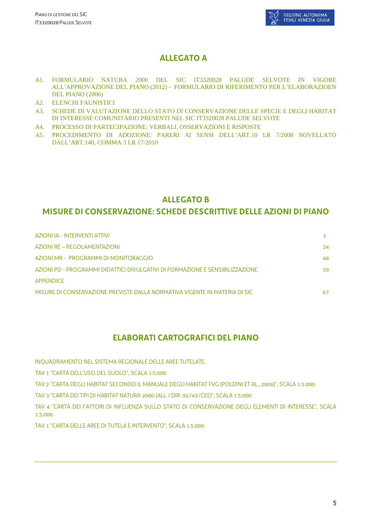## **ALLEGATO A**

- A1. FORMULARIO NATURA 2000 DEL SIC IT3320028 PALUDE SELVOTE IN VIGORE ALL'APPROVAZIONE DEL PIANO (2012) - FORMULARIO DI RIFERIMENTO PER L'ELABORAZIOEN DEL PIANO (2006)
- A2. ELENCHI FAUNISTICI
- A3. SCHEDE DI VALUTAZIONE DELLO STATO DI CONSERVAZIONE DELLE SPECIE E DEGLI HABITAT DI INTERESSE COMUNITARIO PRESENTI NEL SIC IT3320028 PALUDE SELVOTE
- A4. PROCESSO DI PARTECIPAZIONE: VERBALI, OSSERVAZIONI E RISPOSTE
- A5. PROCEDIMENTO DI ADOZIONE: PARERI AI SENSI DELL'ART.10 LR 7/2008 NOVELLATO DALL'ART.140, COMMA 3 LR 17/2010

# **ALLEGATO B**

### **MISURE DI CONSERVAZIONE: SCHEDE DESCRITTIVE DELLE AZIONI DI PIANO**

| AZIONI IA - INTERVENTI ATTIVI                                                 |    |
|-------------------------------------------------------------------------------|----|
| AZIONI RE – REGOLAMENTAZIONI                                                  | 24 |
| AZIONI MR - PROGRAMMI DI MONITORAGGIO                                         | 48 |
| AZIONI PD - PROGRAMMI DIDATTICI DIVULGATIVI DI FORMAZIONE E SENSIBILIZZAZIONE | 59 |
| <b>APPENDICE</b>                                                              |    |
| MISURE DI CONSERVAZIONE PREVISTE DALLA NORMATIVA VIGENTE IN MATERIA DI SIC    | 67 |

### **ELABORATI CARTOGRAFICI DEL PIANO**

INQUADRAMENTO NEL SISTEMA REGIONALE DELLE AREE TUTELATE.

TAV 1 "CARTA DELL'USO DEL SUOLO", SCALA 1:5.000

TAV 2 "CARTA DEGLI HABITAT SECONDO IL MANUALE DEGLI HABITAT FVG (POLDINI ET AL., 2006)", SCALA 1:5.000

TAV 3 "CARTA DEI TIPI DI HABITAT NATURA 2000 (ALL. I DIR. 92/43/CEE)", SCALA 1:5.000

TAV 4 "CARTA DEI FATTORI DI INFLUENZA SULLO STATO DI CONSERVAZIONE DEGLI ELEMENTI DI INTERESSE", SCALA 1:5,000

TAV 1 "CARTA DELLE AREE DI TUTELA E INTERVENTO", SCALA 1:5.000